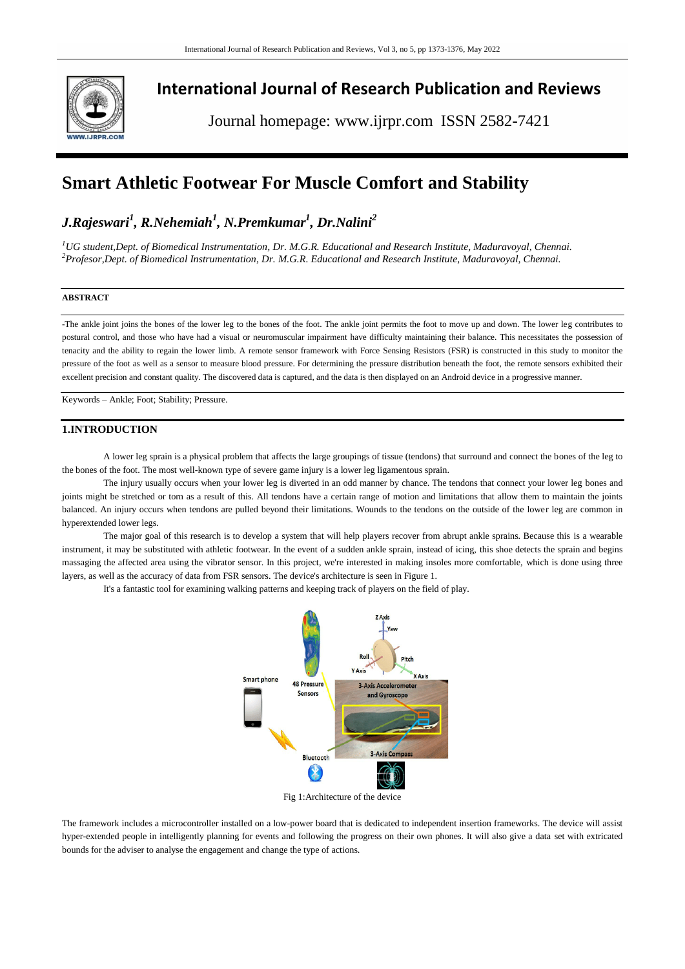

# **International Journal of Research Publication and Reviews**

Journal homepage: www.ijrpr.com ISSN 2582-7421

# **Smart Athletic Footwear For Muscle Comfort and Stability**

# *J.Rajeswari<sup>1</sup> , R.Nehemiah<sup>1</sup> , N.Premkumar<sup>1</sup> , Dr.Nalini<sup>2</sup>*

*<sup>1</sup>UG student,Dept. of Biomedical Instrumentation, Dr. M.G.R. Educational and Research Institute, Maduravoyal, Chennai. <sup>2</sup>Profesor,Dept. of Biomedical Instrumentation, Dr. M.G.R. Educational and Research Institute, Maduravoyal, Chennai.*

#### **ABSTRACT**

-The ankle joint joins the bones of the lower leg to the bones of the foot. The ankle joint permits the foot to move up and down. The lower leg contributes to postural control, and those who have had a visual or neuromuscular impairment have difficulty maintaining their balance. This necessitates the possession of tenacity and the ability to regain the lower limb. A remote sensor framework with Force Sensing Resistors (FSR) is constructed in this study to monitor the pressure of the foot as well as a sensor to measure blood pressure. For determining the pressure distribution beneath the foot, the remote sensors exhibited their excellent precision and constant quality. The discovered data is captured, and the data is then displayed on an Android device in a progressive manner.

Keywords – Ankle; Foot; Stability; Pressure.

#### **1.INTRODUCTION**

A lower leg sprain is a physical problem that affects the large groupings of tissue (tendons) that surround and connect the bones of the leg to the bones of the foot. The most well-known type of severe game injury is a lower leg ligamentous sprain.

The injury usually occurs when your lower leg is diverted in an odd manner by chance. The tendons that connect your lower leg bones and joints might be stretched or torn as a result of this. All tendons have a certain range of motion and limitations that allow them to maintain the joints balanced. An injury occurs when tendons are pulled beyond their limitations. Wounds to the tendons on the outside of the lower leg are common in hyperextended lower legs.

The major goal of this research is to develop a system that will help players recover from abrupt ankle sprains. Because this is a wearable instrument, it may be substituted with athletic footwear. In the event of a sudden ankle sprain, instead of icing, this shoe detects the sprain and begins massaging the affected area using the vibrator sensor. In this project, we're interested in making insoles more comfortable, which is done using three layers, as well as the accuracy of data from FSR sensors. The device's architecture is seen in Figure 1.

It's a fantastic tool for examining walking patterns and keeping track of players on the field of play.



Fig 1:Architecture of the device

The framework includes a microcontroller installed on a low-power board that is dedicated to independent insertion frameworks. The device will assist hyper-extended people in intelligently planning for events and following the progress on their own phones. It will also give a data set with extricated bounds for the adviser to analyse the engagement and change the type of actions.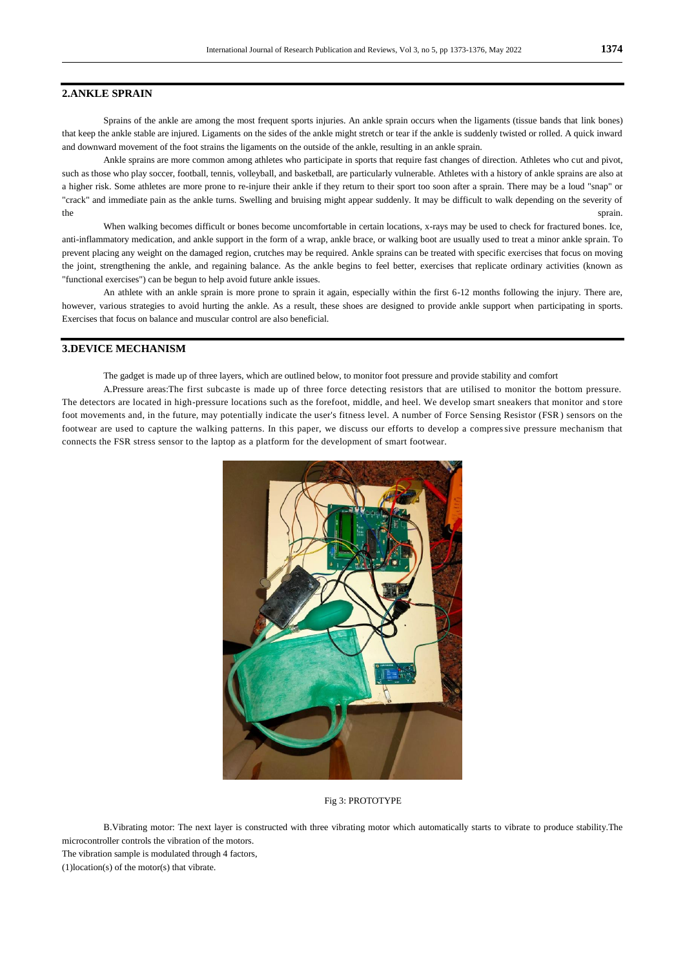#### **2.ANKLE SPRAIN**

Sprains of the ankle are among the most frequent sports injuries. An ankle sprain occurs when the ligaments (tissue bands that link bones) that keep the ankle stable are injured. Ligaments on the sides of the ankle might stretch or tear if the ankle is suddenly twisted or rolled. A quick inward and downward movement of the foot strains the ligaments on the outside of the ankle, resulting in an ankle sprain.

Ankle sprains are more common among athletes who participate in sports that require fast changes of direction. Athletes who cut and pivot, such as those who play soccer, football, tennis, volleyball, and basketball, are particularly vulnerable. Athletes with a history of ankle sprains are also at a higher risk. Some athletes are more prone to re-injure their ankle if they return to their sport too soon after a sprain. There may be a loud "snap" or "crack" and immediate pain as the ankle turns. Swelling and bruising might appear suddenly. It may be difficult to walk depending on the severity of the sprain. The sprain sprain sprain.

When walking becomes difficult or bones become uncomfortable in certain locations, x-rays may be used to check for fractured bones. Ice, anti-inflammatory medication, and ankle support in the form of a wrap, ankle brace, or walking boot are usually used to treat a minor ankle sprain. To prevent placing any weight on the damaged region, crutches may be required. Ankle sprains can be treated with specific exercises that focus on moving the joint, strengthening the ankle, and regaining balance. As the ankle begins to feel better, exercises that replicate ordinary activities (known as "functional exercises") can be begun to help avoid future ankle issues.

An athlete with an ankle sprain is more prone to sprain it again, especially within the first 6-12 months following the injury. There are, however, various strategies to avoid hurting the ankle. As a result, these shoes are designed to provide ankle support when participating in sports. Exercises that focus on balance and muscular control are also beneficial.

### **3.DEVICE MECHANISM**

The gadget is made up of three layers, which are outlined below, to monitor foot pressure and provide stability and comfort

A.Pressure areas:The first subcaste is made up of three force detecting resistors that are utilised to monitor the bottom pressure. The detectors are located in high-pressure locations such as the forefoot, middle, and heel. We develop smart sneakers that monitor and store foot movements and, in the future, may potentially indicate the user's fitness level. A number of Force Sensing Resistor (FSR ) sensors on the footwear are used to capture the walking patterns. In this paper, we discuss our efforts to develop a compressive pressure mechanism that connects the FSR stress sensor to the laptop as a platform for the development of smart footwear.



Fig 3: PROTOTYPE

B.Vibrating motor: The next layer is constructed with three vibrating motor which automatically starts to vibrate to produce stability.The microcontroller controls the vibration of the motors.

The vibration sample is modulated through 4 factors,

(1)location(s) of the motor(s) that vibrate.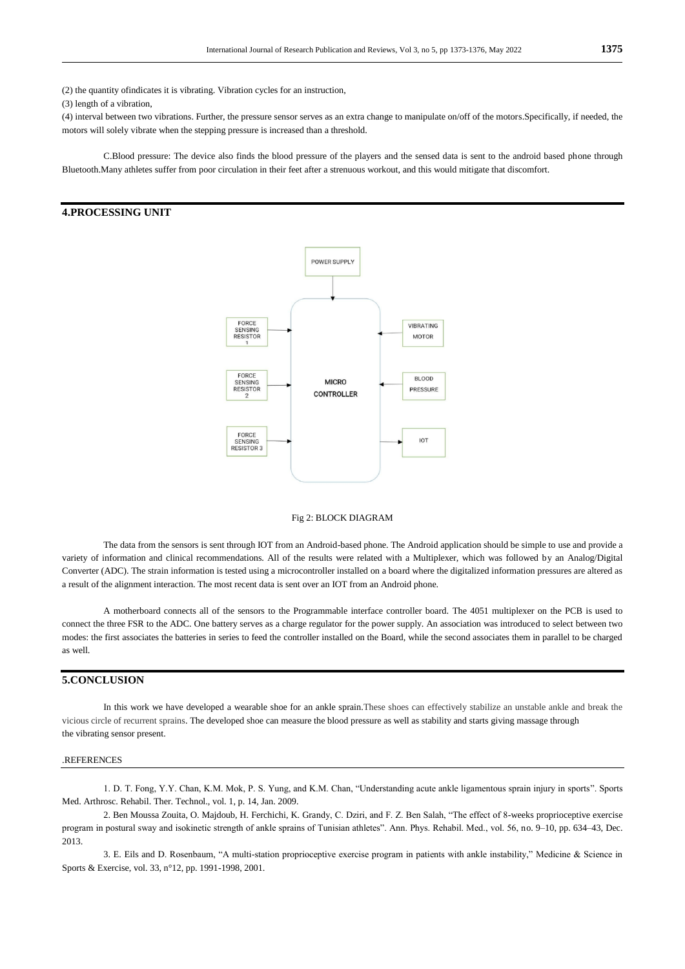(2) the quantity ofindicates it is vibrating. Vibration cycles for an instruction,

(3) length of a vibration,

(4) interval between two vibrations. Further, the pressure sensor serves as an extra change to manipulate on/off of the motors.Specifically, if needed, the motors will solely vibrate when the stepping pressure is increased than a threshold.

C.Blood pressure: The device also finds the blood pressure of the players and the sensed data is sent to the android based phone through Bluetooth.Many athletes suffer from poor circulation in their feet after a strenuous workout, and this would mitigate that discomfort.

## **4.PROCESSING UNIT**



#### Fig 2: BLOCK DIAGRAM

The data from the sensors is sent through IOT from an Android-based phone. The Android application should be simple to use and provide a variety of information and clinical recommendations. All of the results were related with a Multiplexer, which was followed by an Analog/Digital Converter (ADC). The strain information is tested using a microcontroller installed on a board where the digitalized information pressures are altered as a result of the alignment interaction. The most recent data is sent over an IOT from an Android phone.

A motherboard connects all of the sensors to the Programmable interface controller board. The 4051 multiplexer on the PCB is used to connect the three FSR to the ADC. One battery serves as a charge regulator for the power supply. An association was introduced to select between two modes: the first associates the batteries in series to feed the controller installed on the Board, while the second associates them in parallel to be charged as well.

## **5.CONCLUSION**

In this work we have developed a wearable shoe for an ankle sprain.These shoes can effectively stabilize an unstable ankle and break the vicious circle of recurrent sprains. The developed shoe can measure the blood pressure as well as stability and starts giving massage through the vibrating sensor present.

#### .REFERENCES

1. D. T. Fong, Y.Y. Chan, K.M. Mok, P. S. Yung, and K.M. Chan, "Understanding acute ankle ligamentous sprain injury in sports". Sports Med. Arthrosc. Rehabil. Ther. Technol., vol. 1, p. 14, Jan. 2009.

2. Ben Moussa Zouita, O. Majdoub, H. Ferchichi, K. Grandy, C. Dziri, and F. Z. Ben Salah, "The effect of 8-weeks proprioceptive exercise program in postural sway and isokinetic strength of ankle sprains of Tunisian athletes". Ann. Phys. Rehabil. Med., vol. 56, no. 9–10, pp. 634–43, Dec. 2013.

3. E. Eils and D. Rosenbaum, "A multi-station proprioceptive exercise program in patients with ankle instability," Medicine & Science in Sports & Exercise, vol. 33, n°12, pp. 1991-1998, 2001.